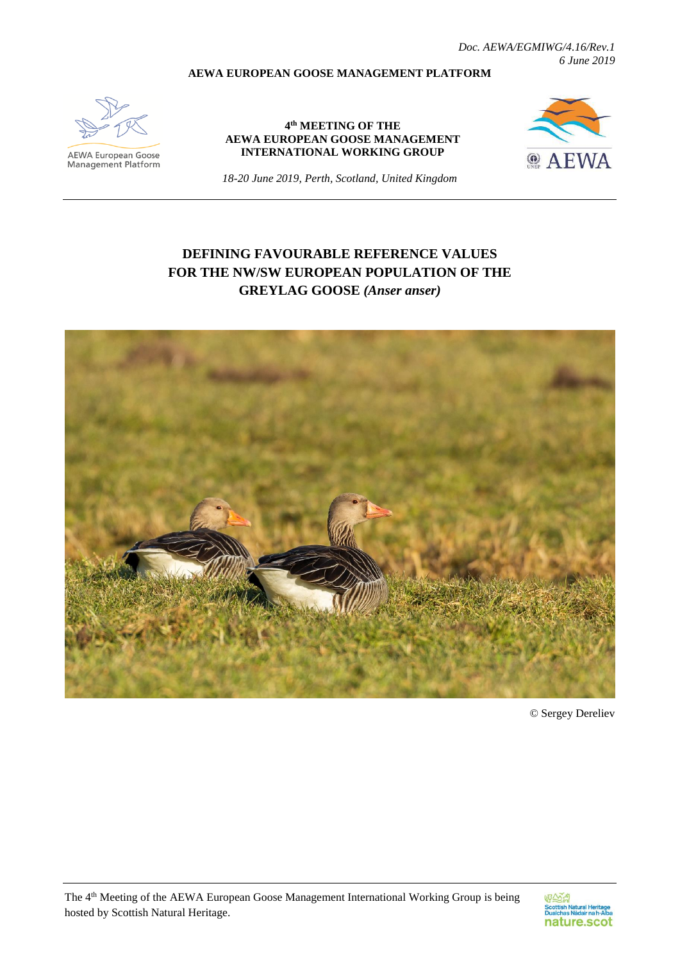*Doc. AEWA/EGMIWG/4.16/Rev.1 6 June 2019*

#### **AEWA EUROPEAN GOOSE MANAGEMENT PLATFORM**



**AEWA European Goose**<br>Management Platform

#### **4 th MEETING OF THE AEWA EUROPEAN GOOSE MANAGEMENT INTERNATIONAL WORKING GROUP**



*18-20 June 2019, Perth, Scotland, United Kingdom*

# **DEFINING FAVOURABLE REFERENCE VALUES FOR THE NW/SW EUROPEAN POPULATION OF THE GREYLAG GOOSE** *(Anser anser)*



© Sergey Dereliev

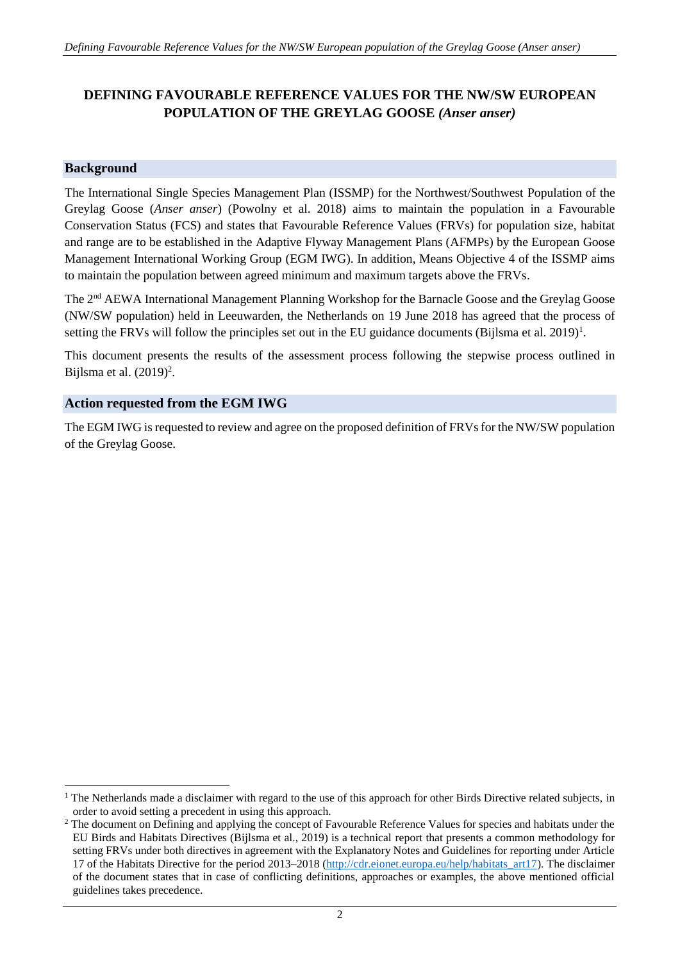# **DEFINING FAVOURABLE REFERENCE VALUES FOR THE NW/SW EUROPEAN POPULATION OF THE GREYLAG GOOSE** *(Anser anser)*

## **Background**

1

The International Single Species Management Plan (ISSMP) for the Northwest/Southwest Population of the Greylag Goose (*Anser anser*) (Powolny et al. 2018) aims to maintain the population in a Favourable Conservation Status (FCS) and states that Favourable Reference Values (FRVs) for population size, habitat and range are to be established in the Adaptive Flyway Management Plans (AFMPs) by the European Goose Management International Working Group (EGM IWG). In addition, Means Objective 4 of the ISSMP aims to maintain the population between agreed minimum and maximum targets above the FRVs.

The 2nd AEWA International Management Planning Workshop for the Barnacle Goose and the Greylag Goose (NW/SW population) held in Leeuwarden, the Netherlands on 19 June 2018 has agreed that the process of setting the FRVs will follow the principles set out in the EU guidance documents (Bijlsma et al. 2019)<sup>1</sup>.

This document presents the results of the assessment process following the stepwise process outlined in Bijlsma et al.  $(2019)^2$ .

# **Action requested from the EGM IWG**

The EGM IWG is requested to review and agree on the proposed definition of FRVs for the NW/SW population of the Greylag Goose.

<sup>&</sup>lt;sup>1</sup> The Netherlands made a disclaimer with regard to the use of this approach for other Birds Directive related subjects, in order to avoid setting a precedent in using this approach.

<sup>&</sup>lt;sup>2</sup> The document on Defining and applying the concept of Favourable Reference Values for species and habitats under the EU Birds and Habitats Directives (Bijlsma et al., 2019) is a technical report that presents a common methodology for setting FRVs under both directives in agreement with the Explanatory Notes and Guidelines for reporting under Article 17 of the Habitats Directive for the period 2013–2018 [\(http://cdr.eionet.europa.eu/help/habitats\\_art17\)](http://cdr.eionet.europa.eu/help/habitats_art17). The disclaimer of the document states that in case of conflicting definitions, approaches or examples, the above mentioned official guidelines takes precedence.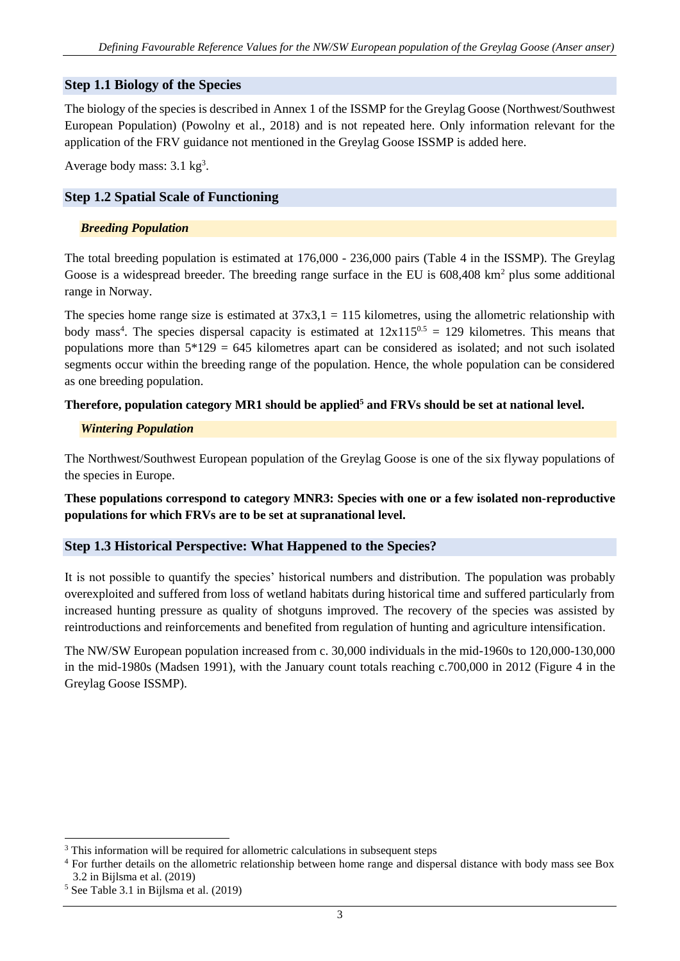# **Step 1.1 Biology of the Species**

The biology of the species is described in Annex 1 of the ISSMP for the Greylag Goose (Northwest/Southwest European Population) (Powolny et al., 2018) and is not repeated here. Only information relevant for the application of the FRV guidance not mentioned in the Greylag Goose ISSMP is added here.

Average body mass: 3.1 kg<sup>3</sup>.

# **Step 1.2 Spatial Scale of Functioning**

### *Breeding Population*

The total breeding population is estimated at  $176,000 - 236,000$  pairs (Table 4 in the ISSMP). The Greylag Goose is a widespread breeder. The breeding range surface in the EU is  $608,408 \text{ km}^2$  plus some additional range in Norway.

The species home range size is estimated at  $37x3,1 = 115$  kilometres, using the allometric relationship with body mass<sup>4</sup>. The species dispersal capacity is estimated at  $12x115^{0.5} = 129$  kilometres. This means that populations more than  $5*129 = 645$  kilometres apart can be considered as isolated; and not such isolated segments occur within the breeding range of the population. Hence, the whole population can be considered as one breeding population.

## **Therefore, population category MR1 should be applied<sup>5</sup> and FRVs should be set at national level.**

## *Wintering Population*

The Northwest/Southwest European population of the Greylag Goose is one of the six flyway populations of the species in Europe.

**These populations correspond to category MNR3: Species with one or a few isolated non-reproductive populations for which FRVs are to be set at supranational level.**

# **Step 1.3 Historical Perspective: What Happened to the Species?**

It is not possible to quantify the species' historical numbers and distribution. The population was probably overexploited and suffered from loss of wetland habitats during historical time and suffered particularly from increased hunting pressure as quality of shotguns improved. The recovery of the species was assisted by reintroductions and reinforcements and benefited from regulation of hunting and agriculture intensification.

The NW/SW European population increased from c. 30,000 individuals in the mid-1960s to 120,000-130,000 in the mid-1980s (Madsen 1991), with the January count totals reaching c.700,000 in 2012 (Figure 4 in the Greylag Goose ISSMP).

<sup>&</sup>lt;sup>3</sup> This information will be required for allometric calculations in subsequent steps

<sup>&</sup>lt;sup>4</sup> For further details on the allometric relationship between home range and dispersal distance with body mass see Box 3.2 in Bijlsma et al. (2019)

<sup>5</sup> See Table 3.1 in Bijlsma et al. (2019)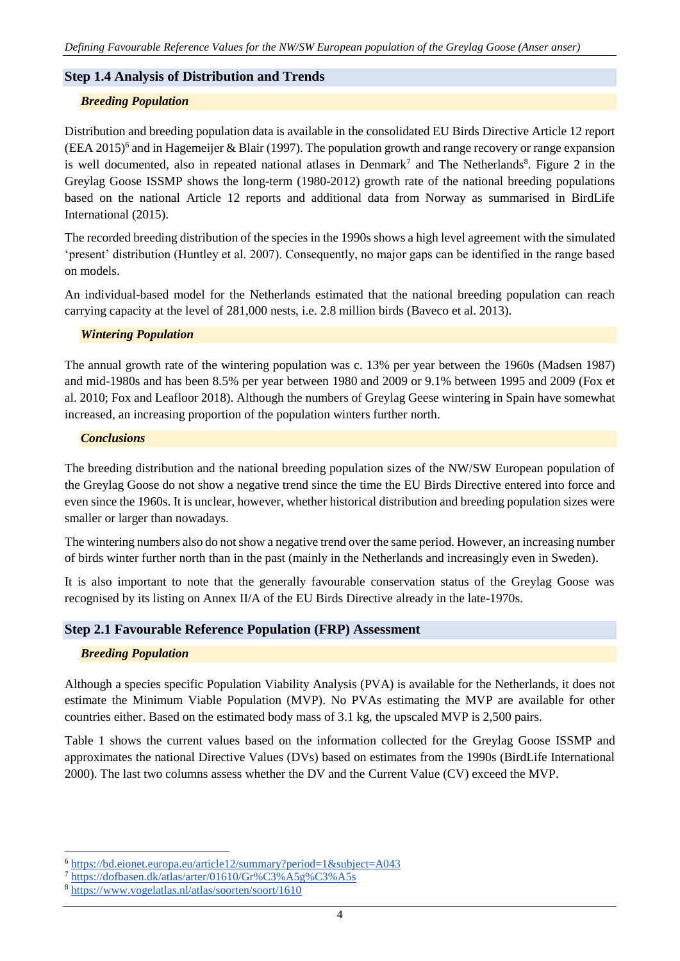## **Step 1.4 Analysis of Distribution and Trends**

#### *Breeding Population*

Distribution and breeding population data is available in the consolidated EU Birds Directive Article 12 report (EEA 2015)<sup>6</sup> and in Hagemeijer & Blair (1997). The population growth and range recovery or range expansion is well documented, also in repeated national atlases in Denmark<sup>7</sup> and The Netherlands<sup>8</sup>. Figure 2 in the Greylag Goose ISSMP shows the long-term (1980-2012) growth rate of the national breeding populations based on the national Article 12 reports and additional data from Norway as summarised in BirdLife International (2015).

The recorded breeding distribution of the species in the 1990s shows a high level agreement with the simulated 'present' distribution (Huntley et al. 2007). Consequently, no major gaps can be identified in the range based on models.

An individual-based model for the Netherlands estimated that the national breeding population can reach carrying capacity at the level of 281,000 nests, i.e. 2.8 million birds (Baveco et al. 2013).

#### *Wintering Population*

The annual growth rate of the wintering population was c. 13% per year between the 1960s (Madsen 1987) and mid-1980s and has been 8.5% per year between 1980 and 2009 or 9.1% between 1995 and 2009 (Fox et al. 2010; Fox and Leafloor 2018). Although the numbers of Greylag Geese wintering in Spain have somewhat increased, an increasing proportion of the population winters further north.

#### *Conclusions*

The breeding distribution and the national breeding population sizes of the NW/SW European population of the Greylag Goose do not show a negative trend since the time the EU Birds Directive entered into force and even since the 1960s. It is unclear, however, whether historical distribution and breeding population sizes were smaller or larger than nowadays.

The wintering numbers also do not show a negative trend over the same period. However, an increasing number of birds winter further north than in the past (mainly in the Netherlands and increasingly even in Sweden).

It is also important to note that the generally favourable conservation status of the Greylag Goose was recognised by its listing on Annex II/A of the EU Birds Directive already in the late-1970s.

#### **Step 2.1 Favourable Reference Population (FRP) Assessment**

#### *Breeding Population*

-

Although a species specific Population Viability Analysis (PVA) is available for the Netherlands, it does not estimate the Minimum Viable Population (MVP). No PVAs estimating the MVP are available for other countries either. Based on the estimated body mass of 3.1 kg, the upscaled MVP is 2,500 pairs.

Table 1 shows the current values based on the information collected for the Greylag Goose ISSMP and approximates the national Directive Values (DVs) based on estimates from the 1990s (BirdLife International 2000). The last two columns assess whether the DV and the Current Value (CV) exceed the MVP.

<sup>6</sup> <https://bd.eionet.europa.eu/article12/summary?period=1&subject=A043>

<sup>7</sup> <https://dofbasen.dk/atlas/arter/01610/Gr%C3%A5g%C3%A5s>

<sup>8</sup> <https://www.vogelatlas.nl/atlas/soorten/soort/1610>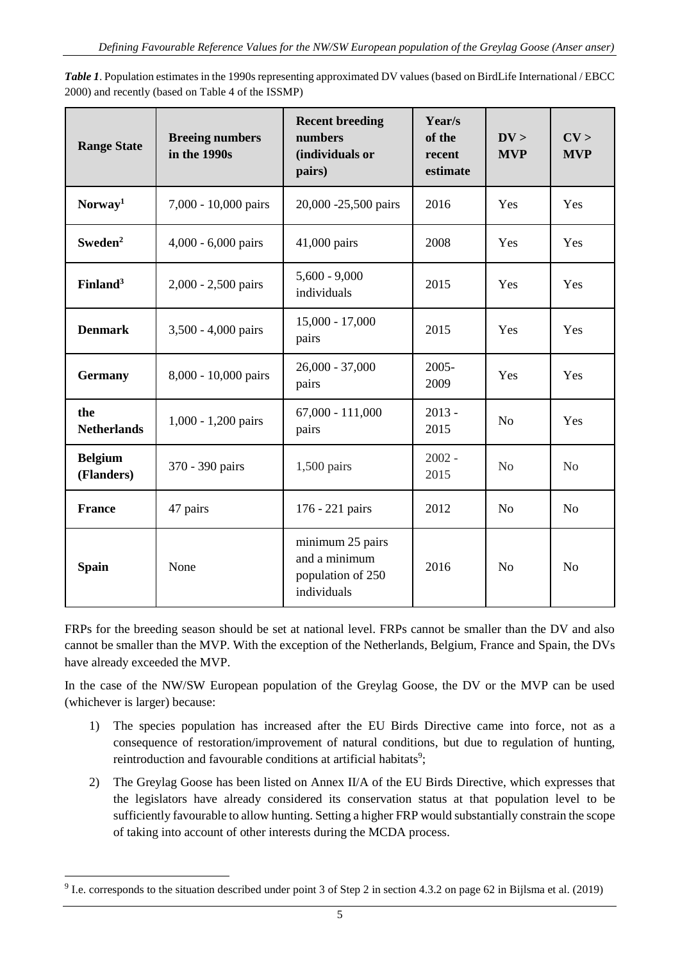| <b>Range State</b>           | <b>Breeing numbers</b><br>in the 1990s | <b>Recent breeding</b><br>numbers<br>(individuals or<br>pairs)        | Year/s<br>of the<br>recent<br>estimate | DV ><br><b>MVP</b> | CV ><br><b>MVP</b> |
|------------------------------|----------------------------------------|-----------------------------------------------------------------------|----------------------------------------|--------------------|--------------------|
| Norway <sup>1</sup>          | 7,000 - 10,000 pairs                   | 20,000 -25,500 pairs                                                  | 2016                                   | Yes                | Yes                |
| Sweden <sup>2</sup>          | 4,000 - 6,000 pairs                    | 41,000 pairs                                                          | 2008                                   | Yes                | Yes                |
| Finland <sup>3</sup>         | 2,000 - 2,500 pairs                    | $5,600 - 9,000$<br>individuals                                        | 2015                                   | Yes                | Yes                |
| <b>Denmark</b>               | 3,500 - 4,000 pairs                    | $15,000 - 17,000$<br>pairs                                            | 2015                                   | Yes                | Yes                |
| <b>Germany</b>               | 8,000 - 10,000 pairs                   | $26,000 - 37,000$<br>pairs                                            | 2005-<br>2009                          | Yes                | Yes                |
| the<br><b>Netherlands</b>    | 1,000 - 1,200 pairs                    | $67,000 - 111,000$<br>pairs                                           | $2013 -$<br>2015                       | N <sub>o</sub>     | Yes                |
| <b>Belgium</b><br>(Flanders) | 370 - 390 pairs                        | $1,500$ pairs                                                         | $2002 -$<br>2015                       | No                 | No                 |
| <b>France</b>                | 47 pairs                               | 176 - 221 pairs                                                       | 2012                                   | N <sub>o</sub>     | N <sub>o</sub>     |
| <b>Spain</b>                 | None                                   | minimum 25 pairs<br>and a minimum<br>population of 250<br>individuals | 2016                                   | N <sub>o</sub>     | N <sub>o</sub>     |

*Table 1*. Population estimates in the 1990s representing approximated DV values (based on BirdLife International / EBCC 2000) and recently (based on Table 4 of the ISSMP)

FRPs for the breeding season should be set at national level. FRPs cannot be smaller than the DV and also cannot be smaller than the MVP. With the exception of the Netherlands, Belgium, France and Spain, the DVs have already exceeded the MVP.

In the case of the NW/SW European population of the Greylag Goose, the DV or the MVP can be used (whichever is larger) because:

- 1) The species population has increased after the EU Birds Directive came into force, not as a consequence of restoration/improvement of natural conditions, but due to regulation of hunting, reintroduction and favourable conditions at artificial habitats<sup>9</sup>;
- 2) The Greylag Goose has been listed on Annex II/A of the EU Birds Directive, which expresses that the legislators have already considered its conservation status at that population level to be sufficiently favourable to allow hunting. Setting a higher FRP would substantially constrain the scope of taking into account of other interests during the MCDA process.

<sup>&</sup>lt;sup>9</sup> I.e. corresponds to the situation described under point 3 of Step 2 in section 4.3.2 on page 62 in Bijlsma et al. (2019)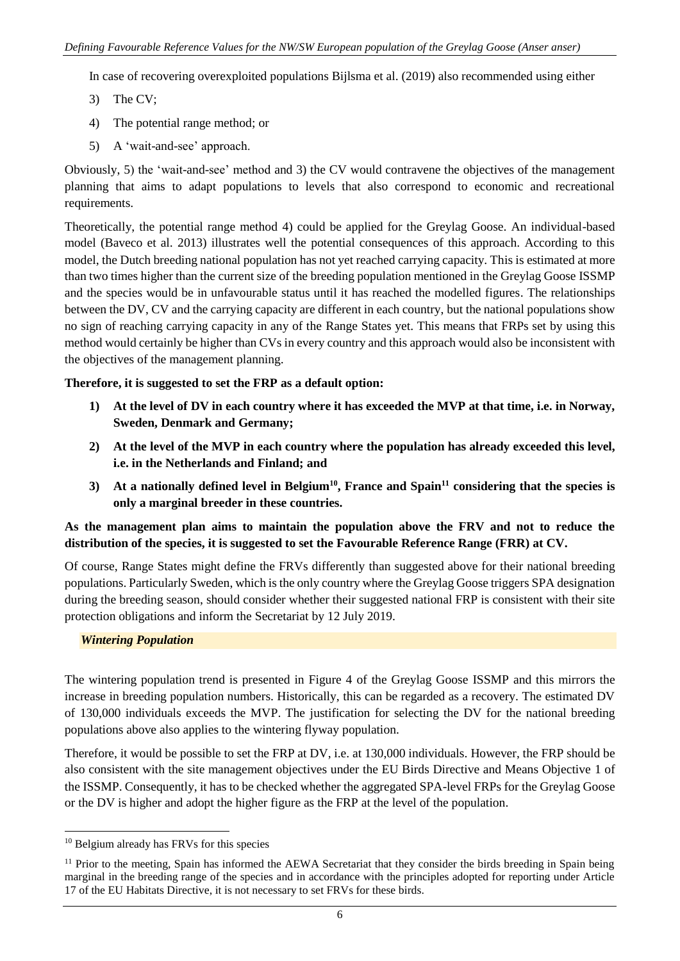In case of recovering overexploited populations Bijlsma et al. (2019) also recommended using either

- 3) The CV;
- 4) The potential range method; or
- 5) A 'wait-and-see' approach.

Obviously, 5) the 'wait-and-see' method and 3) the CV would contravene the objectives of the management planning that aims to adapt populations to levels that also correspond to economic and recreational requirements.

Theoretically, the potential range method 4) could be applied for the Greylag Goose. An individual-based model (Baveco et al. 2013) illustrates well the potential consequences of this approach. According to this model, the Dutch breeding national population has not yet reached carrying capacity. This is estimated at more than two times higher than the current size of the breeding population mentioned in the Greylag Goose ISSMP and the species would be in unfavourable status until it has reached the modelled figures. The relationships between the DV, CV and the carrying capacity are different in each country, but the national populations show no sign of reaching carrying capacity in any of the Range States yet. This means that FRPs set by using this method would certainly be higher than CVs in every country and this approach would also be inconsistent with the objectives of the management planning.

## **Therefore, it is suggested to set the FRP as a default option:**

- **1) At the level of DV in each country where it has exceeded the MVP at that time, i.e. in Norway, Sweden, Denmark and Germany;**
- **2) At the level of the MVP in each country where the population has already exceeded this level, i.e. in the Netherlands and Finland; and**
- **3) At a nationally defined level in Belgium<sup>10</sup>, France and Spain<sup>11</sup> considering that the species is only a marginal breeder in these countries.**

# **As the management plan aims to maintain the population above the FRV and not to reduce the distribution of the species, it is suggested to set the Favourable Reference Range (FRR) at CV.**

Of course, Range States might define the FRVs differently than suggested above for their national breeding populations. Particularly Sweden, which is the only country where the Greylag Goose triggers SPA designation during the breeding season, should consider whether their suggested national FRP is consistent with their site protection obligations and inform the Secretariat by 12 July 2019.

## *Wintering Population*

The wintering population trend is presented in Figure 4 of the Greylag Goose ISSMP and this mirrors the increase in breeding population numbers. Historically, this can be regarded as a recovery. The estimated DV of 130,000 individuals exceeds the MVP. The justification for selecting the DV for the national breeding populations above also applies to the wintering flyway population.

Therefore, it would be possible to set the FRP at DV, i.e. at 130,000 individuals. However, the FRP should be also consistent with the site management objectives under the EU Birds Directive and Means Objective 1 of the ISSMP. Consequently, it has to be checked whether the aggregated SPA-level FRPs for the Greylag Goose or the DV is higher and adopt the higher figure as the FRP at the level of the population.

<sup>10</sup> Belgium already has FRVs for this species

<sup>&</sup>lt;sup>11</sup> Prior to the meeting, Spain has informed the AEWA Secretariat that they consider the birds breeding in Spain being marginal in the breeding range of the species and in accordance with the principles adopted for reporting under Article 17 of the EU Habitats Directive, it is not necessary to set FRVs for these birds.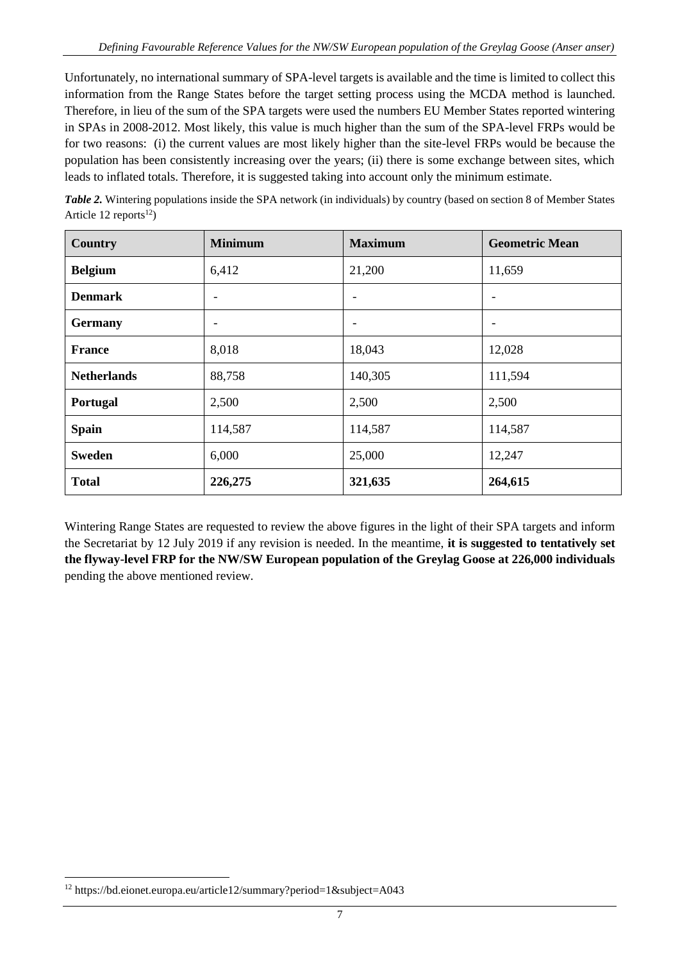Unfortunately, no international summary of SPA-level targets is available and the time is limited to collect this information from the Range States before the target setting process using the MCDA method is launched. Therefore, in lieu of the sum of the SPA targets were used the numbers EU Member States reported wintering in SPAs in 2008-2012. Most likely, this value is much higher than the sum of the SPA-level FRPs would be for two reasons: (i) the current values are most likely higher than the site-level FRPs would be because the population has been consistently increasing over the years; (ii) there is some exchange between sites, which leads to inflated totals. Therefore, it is suggested taking into account only the minimum estimate.

| Table 2. Wintering populations inside the SPA network (in individuals) by country (based on section 8 of Member States |
|------------------------------------------------------------------------------------------------------------------------|
| Article 12 reports <sup>12</sup> )                                                                                     |

| Country            | <b>Minimum</b>           | <b>Maximum</b> | <b>Geometric Mean</b>    |
|--------------------|--------------------------|----------------|--------------------------|
| <b>Belgium</b>     | 6,412                    | 21,200         | 11,659                   |
| <b>Denmark</b>     | $\overline{\phantom{a}}$ | ٠              | $\overline{\phantom{a}}$ |
| <b>Germany</b>     | $\overline{\phantom{a}}$ |                | $\overline{\phantom{a}}$ |
| <b>France</b>      | 8,018                    | 18,043         | 12,028                   |
| <b>Netherlands</b> | 88,758                   | 140,305        | 111,594                  |
| Portugal           | 2,500                    | 2,500          | 2,500                    |
| <b>Spain</b>       | 114,587                  | 114,587        | 114,587                  |
| <b>Sweden</b>      | 6,000                    | 25,000         | 12,247                   |
| <b>Total</b>       | 226,275                  | 321,635        | 264,615                  |

Wintering Range States are requested to review the above figures in the light of their SPA targets and inform the Secretariat by 12 July 2019 if any revision is needed. In the meantime, **it is suggested to tentatively set the flyway-level FRP for the NW/SW European population of the Greylag Goose at 226,000 individuals** pending the above mentioned review.

<sup>12</sup> https://bd.eionet.europa.eu/article12/summary?period=1&subject=A043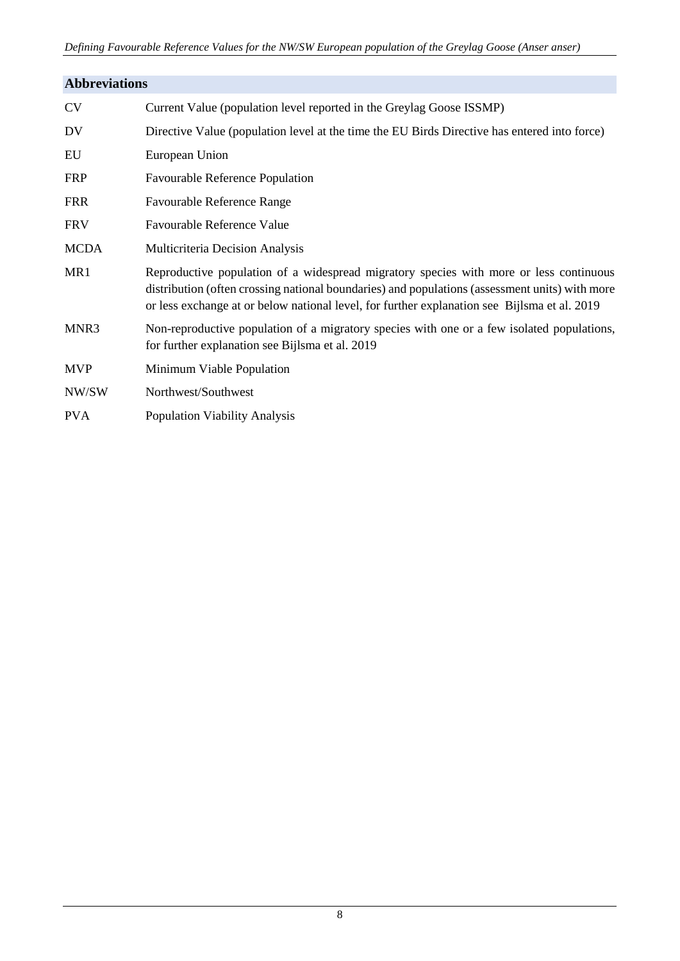| <b>Abbreviations</b> |                                                                                                                                                                                                                                                                                          |  |  |  |
|----------------------|------------------------------------------------------------------------------------------------------------------------------------------------------------------------------------------------------------------------------------------------------------------------------------------|--|--|--|
| <b>CV</b>            | Current Value (population level reported in the Greylag Goose ISSMP)                                                                                                                                                                                                                     |  |  |  |
| DV                   | Directive Value (population level at the time the EU Birds Directive has entered into force)                                                                                                                                                                                             |  |  |  |
| EU                   | European Union                                                                                                                                                                                                                                                                           |  |  |  |
| <b>FRP</b>           | <b>Favourable Reference Population</b>                                                                                                                                                                                                                                                   |  |  |  |
| <b>FRR</b>           | Favourable Reference Range                                                                                                                                                                                                                                                               |  |  |  |
| <b>FRV</b>           | <b>Favourable Reference Value</b>                                                                                                                                                                                                                                                        |  |  |  |
| <b>MCDA</b>          | Multicriteria Decision Analysis                                                                                                                                                                                                                                                          |  |  |  |
| MR1                  | Reproductive population of a widespread migratory species with more or less continuous<br>distribution (often crossing national boundaries) and populations (assessment units) with more<br>or less exchange at or below national level, for further explanation see Bijlsma et al. 2019 |  |  |  |
| MNR3                 | Non-reproductive population of a migratory species with one or a few isolated populations,<br>for further explanation see Bijlsma et al. 2019                                                                                                                                            |  |  |  |
| <b>MVP</b>           | Minimum Viable Population                                                                                                                                                                                                                                                                |  |  |  |
| NW/SW                | Northwest/Southwest                                                                                                                                                                                                                                                                      |  |  |  |
| <b>PVA</b>           | <b>Population Viability Analysis</b>                                                                                                                                                                                                                                                     |  |  |  |